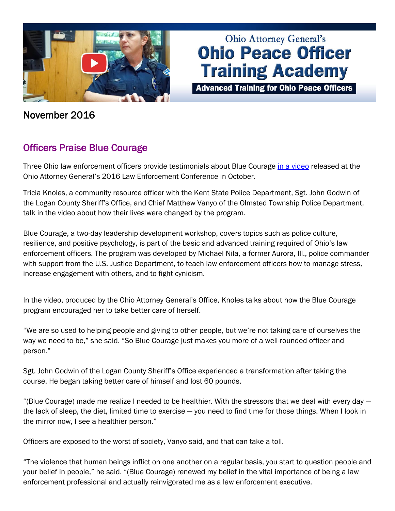

# **Ohio Attorney General's Ohio Peace Officer Training Academy**

**Advanced Training for Ohio Peace Officers** 

November 2016

## [Officers Praise Blue Courage](http://www.ohioattorneygeneral.gov/Law-Enforcement/Ohio-Peace-Officer-Training-Academy/Course-Catalog/Course-Categories/Officer-and-Community-Wellness/Blue-Courage)

Three Ohio law enforcement officers provide testimonials about Blue Courage [in a video](https://www.youtube.com/watch?v=xSd1-uSCZBk) released at the Ohio Attorney General's 2016 Law Enforcement Conference in October.

Tricia Knoles, a community resource officer with the Kent State Police Department, Sgt. John Godwin of the Logan County Sheriff's Office, and Chief Matthew Vanyo of the Olmsted Township Police Department, talk in the video about how their lives were changed by the program.

Blue Courage, a two-day leadership development workshop, covers topics such as police culture, resilience, and positive psychology, is part of the basic and advanced training required of Ohio's law enforcement officers. The program was developed by Michael Nila, a former Aurora, Ill., police commander with support from the U.S. Justice Department, to teach law enforcement officers how to manage stress, increase engagement with others, and to fight cynicism.

In the video, produced by the Ohio Attorney General's Office, Knoles talks about how the Blue Courage program encouraged her to take better care of herself.

"We are so used to helping people and giving to other people, but we're not taking care of ourselves the way we need to be," she said. "So Blue Courage just makes you more of a well-rounded officer and person."

Sgt. John Godwin of the Logan County Sheriff's Office experienced a transformation after taking the course. He began taking better care of himself and lost 60 pounds.

"(Blue Courage) made me realize I needed to be healthier. With the stressors that we deal with every day the lack of sleep, the diet, limited time to exercise — you need to find time for those things. When I look in the mirror now, I see a healthier person."

Officers are exposed to the worst of society, Vanyo said, and that can take a toll.

"The violence that human beings inflict on one another on a regular basis, you start to question people and your belief in people," he said. "(Blue Courage) renewed my belief in the vital importance of being a law enforcement professional and actually reinvigorated me as a law enforcement executive.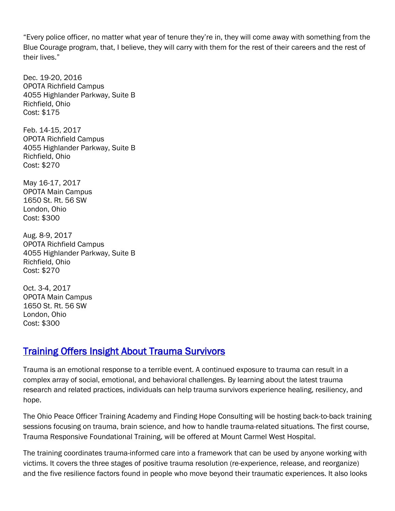"Every police officer, no matter what year of tenure they're in, they will come away with something from the Blue Courage program, that, I believe, they will carry with them for the rest of their careers and the rest of their lives."

Dec. 19-20, 2016 OPOTA Richfield Campus 4055 Highlander Parkway, Suite B Richfield, Ohio Cost: \$175

Feb. 14-15, 2017 OPOTA Richfield Campus 4055 Highlander Parkway, Suite B Richfield, Ohio Cost: \$270

May 16-17, 2017 OPOTA Main Campus 1650 St. Rt. 56 SW London, Ohio Cost: \$300

Aug. 8-9, 2017 OPOTA Richfield Campus 4055 Highlander Parkway, Suite B Richfield, Ohio Cost: \$270

Oct. 3-4, 2017 OPOTA Main Campus 1650 St. Rt. 56 SW London, Ohio Cost: \$300

#### [Training Offers Insight About Trauma Survivors](http://www.ohioattorneygeneral.gov/Law-Enforcement/Ohio-Peace-Officer-Training-Academy/Course-Catalog/Course-Search?searchtext=trauma&searchmode=anyword)

Trauma is an emotional response to a terrible event. A continued exposure to trauma can result in a complex array of social, emotional, and behavioral challenges. By learning about the latest trauma research and related practices, individuals can help trauma survivors experience healing, resiliency, and hope.

The Ohio Peace Officer Training Academy and Finding Hope Consulting will be hosting back-to-back training sessions focusing on trauma, brain science, and how to handle trauma-related situations. The first course, Trauma Responsive Foundational Training, will be offered at Mount Carmel West Hospital.

The training coordinates trauma-informed care into a framework that can be used by anyone working with victims. It covers the three stages of positive trauma resolution (re-experience, release, and reorganize) and the five resilience factors found in people who move beyond their traumatic experiences. It also looks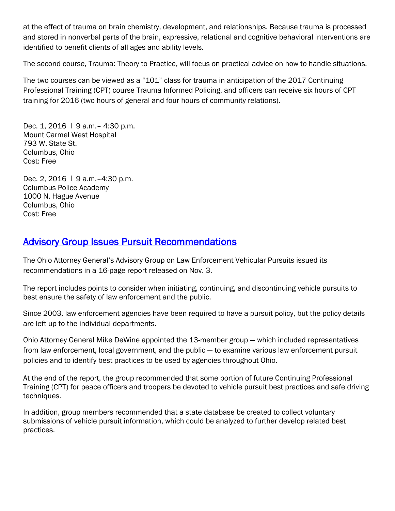at the effect of trauma on brain chemistry, development, and relationships. Because trauma is processed and stored in nonverbal parts of the brain, expressive, relational and cognitive behavioral interventions are identified to benefit clients of all ages and ability levels.

The second course, Trauma: Theory to Practice, will focus on practical advice on how to handle situations.

The two courses can be viewed as a "101" class for trauma in anticipation of the 2017 Continuing Professional Training (CPT) course Trauma Informed Policing, and officers can receive six hours of CPT training for 2016 (two hours of general and four hours of community relations).

Dec. 1, 2016 | 9 a.m. - 4:30 p.m. Mount Carmel West Hospital 793 W. State St. Columbus, Ohio Cost: Free

Dec. 2, 2016 | 9 a.m. - 4:30 p.m. Columbus Police Academy 1000 N. Hague Avenue Columbus, Ohio Cost: Free

#### [Advisory Group Issues Pursuit Recommendations](http://www.ohioattorneygeneral.gov/Law-Enforcement/Services-for-Law-Enforcement/Advisory-Group-on-Law-Enforcement-Vehicular-Pursui)

The Ohio Attorney General's Advisory Group on Law Enforcement Vehicular Pursuits issued its recommendations in a 16-page report released on Nov. 3.

The report includes points to consider when initiating, continuing, and discontinuing vehicle pursuits to best ensure the safety of law enforcement and the public.

Since 2003, law enforcement agencies have been required to have a pursuit policy, but the policy details are left up to the individual departments.

Ohio Attorney General Mike DeWine appointed the 13-member group — which included representatives from law enforcement, local government, and the public — to examine various law enforcement pursuit policies and to identify best practices to be used by agencies throughout Ohio.

At the end of the report, the group recommended that some portion of future Continuing Professional Training (CPT) for peace officers and troopers be devoted to vehicle pursuit best practices and safe driving techniques.

In addition, group members recommended that a state database be created to collect voluntary submissions of vehicle pursuit information, which could be analyzed to further develop related best practices.